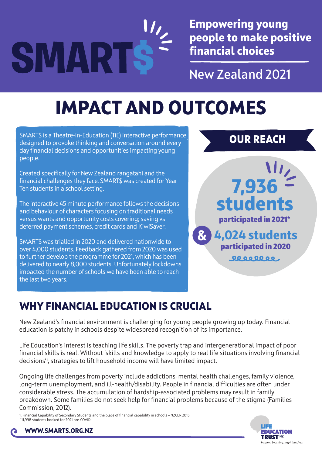**Empowering young people to make positive financial choices**

**New Zealand 2021**

# **IMPACT AND OUTCOMES**

SMART\$ is a Theatre-in-Education (TiE) interactive performance designed to provoke thinking and conversation around every day financial decisions and opportunities impacting young people.

SMARTS

Created specifically for New Zealand rangatahi and the financial challenges they face, SMART\$ was created for Year Ten students in a school setting.

The interactive 45 minute performance follows the decisions and behaviour of characters focusing on traditional needs versus wants and opportunity costs covering; saving vs deferred payment schemes, credit cards and KiwiSaver.

SMART\$ was trialled in 2020 and delivered nationwide to over 4,000 students. Feedback gathered from 2020 was used to further develop the programme for 2021, which has been delivered to nearly 8,000 students. Unfortunately lockdowns impacted the number of schools we have been able to reach the last two years.

### **OUR REACH**

participated in 2021\* **4,024 students**

 $\mathbf{z}$ 

participated in 2020

 $00000000.$ 

**7,936**

**students**

### **WHY FINANCIAL EDUCATION IS CRUCIAL**

New Zealand's financial environment is challenging for young people growing up today. Financial education is patchy in schools despite widespread recognition of its importance.

Life Education's interest is teaching life skills. The poverty trap and intergenerational impact of poor financial skills is real. Without 'skills and knowledge to apply to real life situations involving financial decisions<sup>'1</sup>, strategies to lift household income will have limited impact.

Ongoing life challenges from poverty include addictions, mental health challenges, family violence, long-term unemployment, and ill-health/disability. People in financial difficulties are often under considerable stress. The accumulation of hardship-associated problems may result in family breakdown. Some families do not seek help for financial problems because of the stigma (Families Commission, 2012).

1. Financial Capability of Secondary Students and the place of financial capability in schools – NZCER 2015 \*11,998 students booked for 2021 pre-COVID



**WWW.SMARTS.ORG.NZ**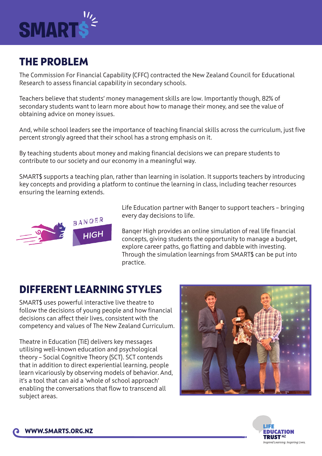

### **THE PROBLEM**

The Commission For Financial Capability (CFFC) contracted the New Zealand Council for Educational Research to assess financial capability in secondary schools.

Teachers believe that students' money management skills are low. Importantly though, 82% of secondary students want to learn more about how to manage their money, and see the value of obtaining advice on money issues.

And, while school leaders see the importance of teaching financial skills across the curriculum, just five percent strongly agreed that their school has a strong emphasis on it.

By teaching students about money and making financial decisions we can prepare students to contribute to our society and our economy in a meaningful way.

SMART\$ supports a teaching plan, rather than learning in isolation. It supports teachers by introducing key concepts and providing a platform to continue the learning in class, including teacher resources ensuring the learning extends.



Life Education partner with Banqer to support teachers – bringing every day decisions to life.

Banqer High provides an online simulation of real life financial concepts, giving students the opportunity to manage a budget, explore career paths, go flatting and dabble with investing. Through the simulation learnings from SMART\$ can be put into practice.

### **DIFFERENT LEARNING STYLES**

SMART\$ uses powerful interactive live theatre to follow the decisions of young people and how financial decisions can affect their lives, consistent with the competency and values of The New Zealand Curriculum.

Theatre in Education (TiE) delivers key messages utilising well-known education and psychological theory – Social Cognitive Theory (SCT). SCT contends that in addition to direct experiential learning, people learn vicariously by observing models of behavior. And, it's a tool that can aid a 'whole of school approach' enabling the conversations that flow to transcend all subject areas.



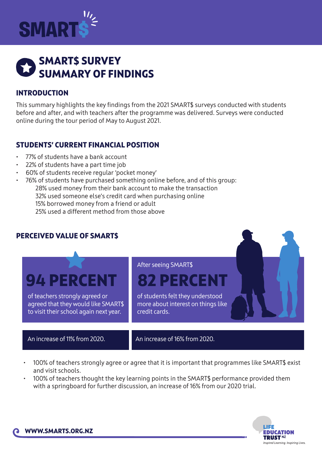

### **SMART\$ SURVEY SUMMARY OF FINDINGS**

#### **INTRODUCTION**

This summary highlights the key findings from the 2021 SMART\$ surveys conducted with students before and after, and with teachers after the programme was delivered. Surveys were conducted online during the tour period of May to August 2021.

#### **STUDENTS' CURRENT FINANCIAL POSITION**

- 77% of students have a bank account
- 22% of students have a part time job
- 60% of students receive regular 'pocket money'
- 76% of students have purchased something online before, and of this group: 28% used money from their bank account to make the transaction 32% used someone else's credit card when purchasing online 15% borrowed money from a friend or adult 25% used a different method from those above

#### **PERCEIVED VALUE OF SMART\$**

**94 PERCENT**

of teachers strongly agreed or agreed that they would like SMART\$ to visit their school again next year.

After seeing SMART\$

# **82 PERCENT**

of students felt they understood more about interest on things like credit cards.

An increase of 11% from 2020.  $\blacksquare$  An increase of 16% from 2020.

- 100% of teachers strongly agree or agree that it is important that programmes like SMART\$ exist and visit schools.
- 100% of teachers thought the key learning points in the SMART\$ performance provided them with a springboard for further discussion, an increase of 16% from our 2020 trial.

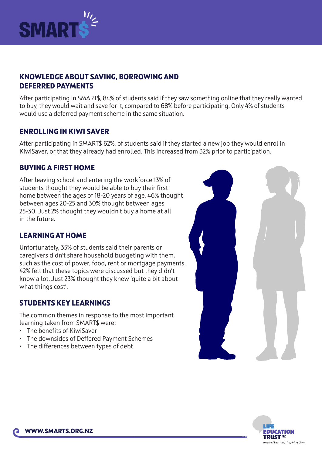

#### **KNOWLEDGE ABOUT SAVING, BORROWING AND DEFERRED PAYMENTS**

After participating in SMART\$, 84% of students said if they saw something online that they really wanted to buy, they would wait and save for it, compared to 68% before participating. Only 4% of students would use a deferred payment scheme in the same situation.

#### **ENROLLING IN KIWI SAVER**

After participating in SMART\$ 62%, of students said if they started a new job they would enrol in KiwiSaver, or that they already had enrolled. This increased from 32% prior to participation.

#### **BUYING A FIRST HOME**

After leaving school and entering the workforce 13% of students thought they would be able to buy their first home between the ages of 18-20 years of age, 46% thought between ages 20-25 and 30% thought between ages 25-30. Just 2% thought they wouldn't buy a home at all in the future.

#### **LEARNING AT HOME**

Unfortunately, 35% of students said their parents or caregivers didn't share household budgeting with them, such as the cost of power, food, rent or mortgage payments. 42% felt that these topics were discussed but they didn't know a lot. Just 23% thought they knew 'quite a bit about what things cost'.

#### **STUDENTS KEY LEARNINGS**

The common themes in response to the most important learning taken from SMART\$ were:

- The benefits of KiwiSaver
- The downsides of Deffered Payment Schemes
- The differences between types of debt



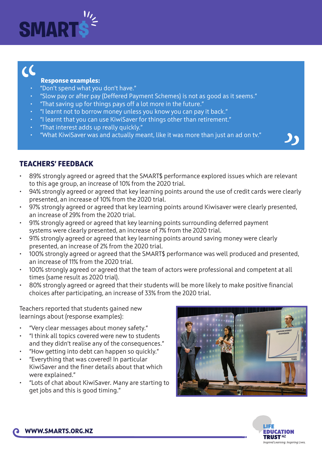

## $\alpha$

#### **Response examples:**

- "Don't spend what you don't have."
- "Slow pay or after pay (Deffered Payment Schemes) is not as good as it seems."
- "That saving up for things pays off a lot more in the future."
- "I learnt not to borrow money unless you know you can pay it back."
- "I learnt that you can use KiwiSaver for things other than retirement."
- "That interest adds up really quickly."
- "What KiwiSaver was and actually meant, like it was more than just an ad on tv."

"

#### **TEACHERS' FEEDBACK**

- 89% strongly agreed or agreed that the SMART\$ performance explored issues which are relevant to this age group, an increase of 10% from the 2020 trial.
- 94% strongly agreed or agreed that key learning points around the use of credit cards were clearly presented, an increase of 10% from the 2020 trial.
- 97% strongly agreed or agreed that key learning points around Kiwisaver were clearly presented, an increase of 29% from the 2020 trial.
- 91% strongly agreed or agreed that key learning points surrounding deferred payment systems were clearly presented, an increase of 7% from the 2020 trial.
- 91% strongly agreed or agreed that key learning points around saving money were clearly presented, an increase of 2% from the 2020 trial.
- 100% strongly agreed or agreed that the SMART\$ performance was well produced and presented, an increase of 11% from the 2020 trial.
- 100% strongly agreed or agreed that the team of actors were professional and competent at all times (same result as 2020 trial).
- 80% strongly agreed or agreed that their students will be more likely to make positive financial choices after participating, an increase of 33% from the 2020 trial.

Teachers reported that students gained new learnings about (response examples):

- "Very clear messages about money safety."
- "I think all topics covered were new to students and they didn't realise any of the consequences."
- "How getting into debt can happen so quickly."
- "Everything that was covered! In particular KiwiSaver and the finer details about that which were explained."
- "Lots of chat about KiwiSaver. Many are starting to get jobs and this is good timing."